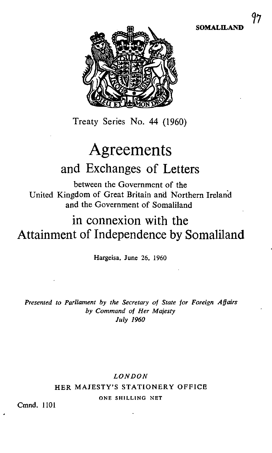

Treaty Series No. 44 (1960)

# Agreements and Exchanges of Letters

between the Government of the United Kingdom of Great Britain and Northern Ireland and the Government of Somaliland

## in connexion with the Attainment of Independence by Somaliland

Hargeisa, June 26, 1960

Presented to Parliament by the Secretary of State for Foreign Affairs by Command of Her Majesty July 1960

## LONDON HER MAJESTY'S STATIONERY OFFICE ONE SHILLING NET

Cmnd. 1101

SOMALILAND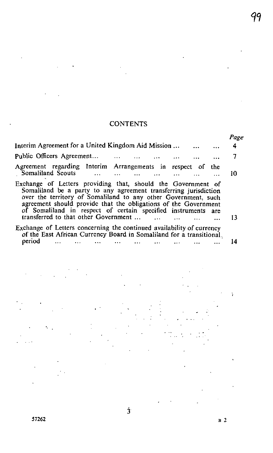## **CONTENTS**

 $\ddot{\phantom{0}}$ 

|                                                                                                                                                                                                                                                                                                                                                                                                       | Page |
|-------------------------------------------------------------------------------------------------------------------------------------------------------------------------------------------------------------------------------------------------------------------------------------------------------------------------------------------------------------------------------------------------------|------|
| Interim Agreement for a United Kingdom Aid Mission                                                                                                                                                                                                                                                                                                                                                    | 4    |
| Public Officers Agreement<br>$\ddotsc$                                                                                                                                                                                                                                                                                                                                                                | 7    |
| Agreement regarding Interim Arrangements in respect of<br>the<br>Somaliland Scouts                                                                                                                                                                                                                                                                                                                    | 10   |
| Exchange of Letters providing that, should the Government of<br>Somaliland be a party to any agreement transferring jurisdiction<br>over the territory of Somaliland to any other Government, such<br>agreement should provide that the obligations of the Government<br>of Somaliland in respect of certain specified instruments<br>are<br>transferred to that other Government<br>$\sim$ 100 $\mu$ | 13   |
| Exchange of Letters concerning the continued availability of currency<br>of the East African Currency Board in Somaliland for a transitional.<br>period                                                                                                                                                                                                                                               | 14   |
|                                                                                                                                                                                                                                                                                                                                                                                                       |      |
|                                                                                                                                                                                                                                                                                                                                                                                                       |      |
|                                                                                                                                                                                                                                                                                                                                                                                                       |      |
|                                                                                                                                                                                                                                                                                                                                                                                                       |      |
|                                                                                                                                                                                                                                                                                                                                                                                                       |      |
|                                                                                                                                                                                                                                                                                                                                                                                                       |      |

 $\dot{3}$ 

 $\ddot{\phantom{0}}$ 

 $\ddot{\phantom{0}}$ 

 $\bullet$ 

 $B<sub>2</sub>$ 

 $\sim 10^{-1}$ 

 $\overline{a}$ 

 $\sim 10$  $\downarrow$ 

99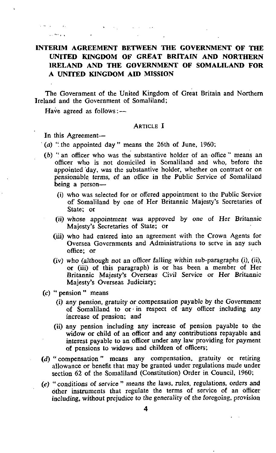## INTERIM AGREEMENT BETWEEN THE GOVERNMENT OF THE UNITED KINGDOM OF GREAT BRITAIN AND NORTHERN IRELAND AND THE GOVERNMENT OF SOMALILAND FOR A UNITED KINGDOM AID MISSION

The Government of the United Kingdom of Great Britain and Northern Ireland and the Government of Somaliland;

Have agreed as follows:--

#### ARTICLE I

In this Agreement-

a benzan ing pa

 $\mathcal{L}_{\mathcal{A}}$  , we have

 $($ a) "the appointed day " means the 26th of June, 1960;

 $\mathbf{S} = \{ \mathbf{S}_1, \ldots, \mathbf{S}_n \}$  , where

- (b) "an officer who was the substantive holder of an office " means an officer who is not domiciled in Somaliland and who, before the appointed day, was the substantive holder, whether on contract or on pensionable terms, of an office in the Public Service of Somaliland being a person-
	- (i) who was selected for or offered appointment to the Public Service of Somaliland by one of Her Britannic Majesty's Secretaries of State; or
	- (ii) whose appointment was approved by one of Her Britannic Majesty's Secretaries of State; or
	- (iii) who had entered into an agreement with the Crown Agents for Oversea Governments and Administrations to serve in any such office; or
	- (iv) who (although not an officer falling within sub-paragraphs (i), (ii), or (iii) of this paragraph) is or has been a member of Her Britannic Majesty's Overseas Civil Service or Her Britannic Majesty's Overseas Judiciary;
- $(c)$  " pension " means
	- (i) any pension, gratuity or compensation payable by the Government of Somaliland to or in respect of any officer including any increase of pension; and
	- (ii) any pension including any increase of pension payable to the widow or child of an officer and any contributions repayable and interest payable to an officer under any law providing for payment of pensions to widows and children of officers;
- (d) " compensation " means any compensation, gratuity or retiring allowance or benefit that may be granted under regulations made under section 62 of the Somaliland (Constitution) Order in Council, 1960;
- (e) "conditions of service" means the laws, rules, regulations, orders and other instruments that regulate the terms of service of an officer including, without prejudice to the generality of the foregoing, provision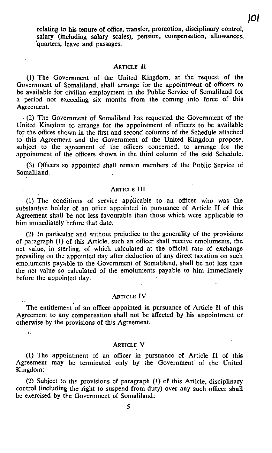relating to his tenure of office, transfer, promotion, disciplinary control, salary (including salary scales), pension, compensation, allowances, quarters, leave and passages.

#### ARTICLE If

(1) The Government of the United Kingdom, at the request of the Government of Somaliland, shall arrange for the appointment of officers to be available for civilian employment in the Public Service of Somaliland for a period not exceeding six months from the coming into force of this Agreement.

. (2) The Government of Somaliland has requested the Government of the United Kingdom to arrange for the appointment of officers to be available for the offices shown in the first and second columns of the Schedule attached to this Agreement and the Government of the United Kingdom propose, subject to the agreement of the officers concerned, to arrange for the appointment of the officers shown in the third column of the said Schedule.

(3) Officers so appointed shall remain members of the Public Service of Somaliland.

#### ARTICLE III

(1) The conditions of service applicable to an officer who was the substantive holder of an office appointed in pursuance of Article II of this Agreement shall be not less favourable than those which were applicable to him immediately before that date.

(2) In particular and without prejudice to the generality of the provisions of paragraph ( 1) of this Article , such an officer shall receive emoluments, the net value, in sterling, of which calculated at the official rate of exchange prevailing on the appointed day after deduction of any direct taxation on such emoluments payable to the Government of Somaliland, shall be not less than the net value so calculated of the emoluments payable to him immediately before the appointed day.

#### ARTICLE IV

The entitlement of an officer appointed in pursuance of Article IT of this Agreement to any compensation shall not be affected by his appointment or otherwise by the provisions of this Agreement.

C

#### ARTICLE V

(1) The appointment of an officer in pursuance of Article II of this Agreement may be terminated only by the Government of the United Kingdom;

(2) Subject to the provisions of paragraph ( 1) of this Article , disciplinary control (including the right to suspend from duty) over any such officer shall be exercised by the Government of Somaliland;

/0g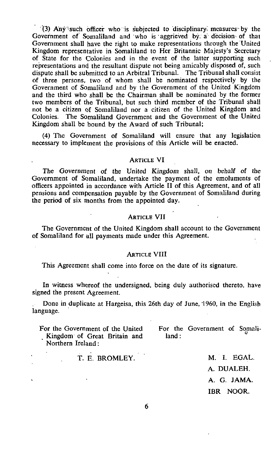'(3) Any-1such officer who is subjected to 'disciplinary. measures by the Government of Somaliland and who is aggrieved by. a decision- of that Government shall have the right to make representations. through the'United Kingdom representative in Somaliland to Her Britannic Majesty's Secretary of State for the Colonies and in the event of the latter supporting such representations and the resultant dispute not being amicably disposed of, such dispute shall be submitted to an Arbitral Tribunal. The Tribunal shall consist of three persons, two of whom shall be nominated respectively by the Government of Somaliland and by the Government of the United Kingdom and the third who shall be the Chairman shall be nominated by the former two members of the Tribunal, but such third member of the Tribunal shall not be a citizen of Somaliland nor a citizen of the United Kingdom and Colonies. The Somaliland Government and the Government of the United Kingdom shall be bound by the Award of such Tribunal;

(4) The Government of Somaliland will ensure that any legislation necessary to implement the provisions of this Article will be enacted.

#### ARTICLE VI

The Government of the United Kingdom shall, on behalf of the Government of Somaliland, undertake the payment of the emoluments of officers appointed in accordance with Article II of this Agreement, and of all pensions and compensation payable by the Government of Somaliland during the period of six months from the appointed day.

#### ARTICLE VII

The Government of the United Kingdom shall account to the Government of Somaliland for all payments made under this Agreement.

#### ARTICLE VIII

This Agreement shall come into force on the date of its signature.

In witness whereof the undersigned, being duly authorised thereto, have signed the present Agreement.

Done in duplicate at Hargeisa, this 26th day of June, '1960, in the English language.

For the Government of the United For the Government of Somali-Kingdom of Great Britain and land: Northern Ireland :

 $\cdot$ 

T. E. BROMLEY. M. I. EGAL.

A. DUALEH. A. G. JAMA. IBR NOOR.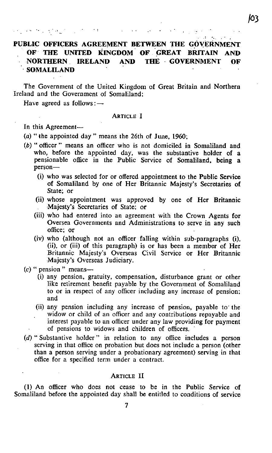## PUBLIC OFFICERS AGREEMENT BETWEEN THE GOVERNMENT OF THE UNITED KINGDOM OF GREAT BRITAIN AND NORTHERN . IRELAND AND THE - GOVERNMENT OF SOMALILAND

The Government of the United Kingdom of Great Britain and Northern Ireland and the Government of Somaliland;

Have agreed as follows: -

#### ARTICLE <sup>I</sup>

In this Agreement-

医无心病性 计自动控制 医白色的 医白色

(a) "the appointed day" means the 26th of June, 1960;

 $\mathcal{F}(\mathcal{A})$  .

- (b) " officer " means an officer who is not domiciled in Somaliland and who, before the appointed day, was the substantive holder of a pensionable office in the Public Service of Somaliland, being a person-
	- (i) who was selected for or offered appointment to the Public Service of Somaliland by one of Her Britannic Majesty's Secretaries of State; or
	- (ii) whose appointment was approved by one of Her Britannic . Majesty's Secretaries of State; or
	- (iii) who had entered into an agreement with the Crown Agents for Oversea Governments and Administrations to serve in any such office; or
	- (iv) who (although not an officer falling within sub-paragraphs (i), (ii), or (iii) of this paragraph) is or has been <sup>a</sup> member of Her Britannic Majesty's Overseas Civil Service or Her Britannic Majesty's Overseas Judiciary.
- $(c)$  " pension " means-
	- (i) any pension, gratuity, compensation, disturbance grant or other like retirement benefit payable by the Government of Somaliland to or in respect of any officer including any increase of pension; and
	- (ii) any pension including any increase of pension, payable to the widow or child of an officer and any contributions repayable and interest payable to an officer under any law providing for payment of pensions to widows and children of officers.
- (d) " Substantive holder " in relation to any office includes a person serving in that office on probation but does not include a person (other than a person serving under a probationary agreement) serving in that office for a specified term under <sup>a</sup> contract.

#### ARTICLE II

(1) An officer who does not cease to be in the Public Service of Somaliland before the appointed day shall be entitled to conditions of service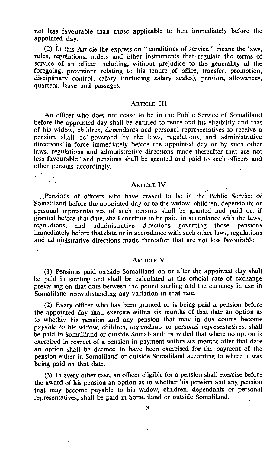not less favourable than those applicable to him immediately before the appointed day.

(2) In this Article the expression " conditions of service " means the laws, rules, regulations, orders and other instruments that regulate the terms of service of an officer including, without prejudice to the generality of the foregoing, provisions relating to his tenure of office, transfer, promotion, disciplinary control, salary (including salary scales), pension, allowances, quarters, leave and passages.

#### ARTICLE III

An officer who does not cease to be in the Public Service of Somaliland before the appointed day shall be entitled to retire and his eligibility and that of his widow, children, dependants and personal representatives to receive a pension shall be governed by the laws, regulations, and administrative directions in force immediately before the appointed day or by such other laws, regulations and administrative directions made thereafter that are not less favourable: and pensions shall be granted and paid to such officers and other persons accordingly.

 $\mathcal{L}_{\mathcal{F}}(\mathcal{F})$  . The  $\mathcal{F}$  $\mathcal{L}^{\text{max}}_{\mathcal{A}}$ 

ARTICLE IV

Pensions of officers who have ceased to be in the Public Service of Somaliland before the appointed. day or to the widow, children, dependants or personal representatives of such persons shall be granted and paid or, if granted before that date, shall continue to be paid, in accordance with the laws, regulations, and administrative directions governing those pensions immediately before that date or in accordance with such other laws, regulations and administrative directions made thereafter that are not less favourable.

#### ARTICLE V

(1) Pensions paid outside Somaliland on or after the appointed day shall be paid in sterling and shall be calculated at the official rate of exchange prevailing on that date between the pound sterling and the currency in use in Somaliland notwithstanding any variation in that rate.

(2) Every officer who has been granted or is being paid a pension before the appointed day shall exercise within six months of that date an option as to whether his pension and any pension that may in due course become payable to his widow, children, dependants or personal representatives, shall be paid in Somaliland or outside Somaliland; provided that where no option is exercised in respect of a pension in payment within six months after that date an option shall be deemed to have been exercised for the payment of the pension either in Somaliland or outside Somaliland according to where it was being paid on that date.

(3) In every other case, an officer eligible for a pension shall exercise before the award of his pension an option as to whether his pension and any pension that may become payable to his widow, children, dependants or personal representatives, shall be paid in Somaliland or outside Somaliland.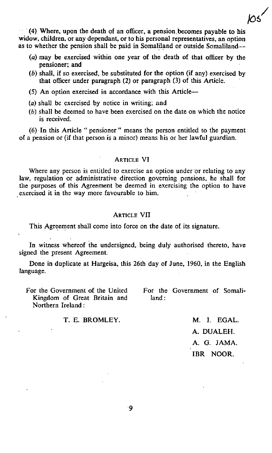$(4)$  Where, upon the death of an officer, a pension becomes payable to his widow, children, or any dependant, or to his personal representatives, an option as to whether the pension shall be paid in Somaliland or outside Somaliland-

- (a) may be exercised within one year of the death of that officer by the pensioner; and
- $(b)$  shall, if so exercised, be substituted for the option (if any) exercised by that officer under paragraph (2) or paragraph (3) of this Article.
- (5) An option exercised in accordance with this Article-
- (a) shall be exercised by notice in writing; and
- (b) shall be deemed to have been exercised on the date on which the notice is received.

(6) In this Article " pensioner" means the person entitled to the payment of a pension or (if that person is a minor) means his or her lawful guardian.

#### ARTICLE VI

Where any person is entitled to exercise an option under or relating to any law, regulation or administrative direction governing pensions, he shall for .the purposes of this Agreement be deemed in exercising the option to have .exercised it in the way more favourable to him.

#### **ARTICLE VII**

This Agreement shall come into force on the date of its signature.

In witness whereof the undersigned, being duly authorised thereto, have signed the present Agreement.

Done in duplicate at Hargeisa, this 26th day of June, 1960. in the English language.

Kingdom of Great Britain and land: Northern Ireland:

For the Government of the United For the Government of Somali-

#### T. E. BROMLEY. M. I. EGAL.

A. DUALEH. A. G. JAMA. IBR NOOR.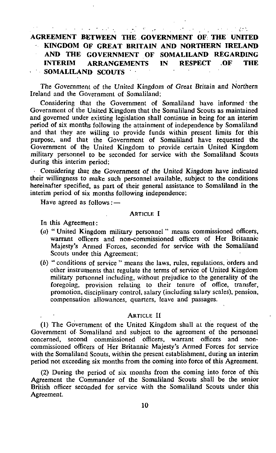$\mathcal{A}^{\text{max}}_{\text{max}}$  , where  $\mathcal{A}^{\text{max}}_{\text{max}}$  $\sim 10^{11}$  m  $^{-1}$  $\mathcal{L}^{\mathcal{L}}$  and  $\mathcal{L}^{\mathcal{L}}$  and  $\mathcal{L}^{\mathcal{L}}$  and  $\mathcal{L}^{\mathcal{L}}$ 

AGREEMENT BETWEEN THE . GOVERNMENP OF: THE UNITED KINGDOM OF GREAT BRITAIN AND NORTHERN IRELAND AND THE GOVERNMENT OF SOMALILAND REGARDING INTERIM ARRANGEMENTS IN RESPECT .OF THE SOMALILAND SCOUTS

The Government of the United Kingdom of Great Britain and Northern Ireland and the Government of Somaliland:

Considering that the Government of Somaliland have informed the Government of the United Kingdom that the Somaliland Scouts as maintained and governed under existing legislation shall continue in being for an interim period of six months following the attainment of independence by Somaliland and that they are willing to provide funds within present limits for this purpose, and that the Government of Somaliland have requested the Government of the United Kingdom to provide certain United Kingdom military personnel to be seconded for service with the Somaliland Scouts during this interim period;

Considering that the Government of the United Kingdom have indicated their willingness to make such personnel available, subject to the conditions hereinafter specified, as part of their general assistance to Somaliland in the interim period of six months following independence;

Have agreed as follows: $-$ 

#### ARTICLE <sup>I</sup>

In this Agreement:

- (a) " United Kingdom military personnel " means commissioned officers, warrant officers and non-commissioned officers of Her Britannic Majesty's Armed Forces, seconded for service with the Somaliland Scouts under this Agreement;
- (b) " conditions of service " means the laws, rules, regulations, orders and other instruments that regulate the terms of service of United Kingdom military personnel including, without prejudice to the generality of the foregoing, provision relating to their tenure of office, transfer, promotion, disciplinary control, salary (including salary scales), pension, compensation allowances, quarters, leave and passages.

#### ARTICLE <sup>11</sup>

(1) The Government of the United Kingdom shall at the request of the Government of Somaliland and subject to the agreement of the personnel concerned, second commissioned officers, warrant officers and noncommissioned officers of Her Britannic Majesty's Armed Forces for service with the Somaliland Scouts, within the present establishment, during an interim period not exceeding six months from the coming into force of this Agreement.

(2) During the period of six months from the coming into force of this Agreement the Commander of the Somaliland Scouts shall be the senior British officer seconded for service with the Somaliland Scouts under this Agreement.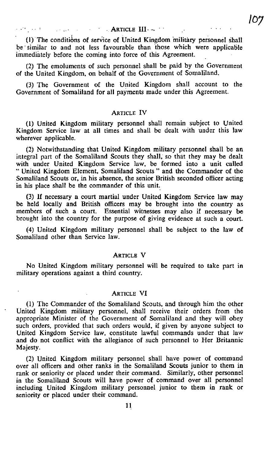(1) The conditions of service of United Kingdom military personnel shall be similar to and not less favourable than those which were applicable immediately before the coming into force of this Agreement.

(2) The emoluments of such personnel shall be paid by the Government of the United Kingdom, on behalf of the Government of Somaliland.

(3) The Government of the United Kingdom shall account to the Government of Somaliland for all payments made under this Agreement.

#### ARTICLE IV

(1) United Kingdom military personnel shall remain subject to United Kingdom Service law at all times and shall be dealt with under this law wherever applicable.

(2) Notwithstanding that United Kingdom military personnel shall be an integral part of the Somaliland Scouts they shall; so that they may be dealt with under United Kingdom Service law, be formed into a unit called " United Kingdom Element, Somaliland Scouts " and the Commander of the Somaliland Scouts or, in his absence, the senior British seconded officer acting in his place shall be the commander of this unit.

(3) If necessary a court martial under United Kingdom Service law may be held locally and British officers may be brought into the country as members of such a court. Essential witnesses may also if necessary be brought into the country for the purpose of giving evidence at such <sup>a</sup> court.

(4) United Kingdom military personnel shall be subject to the law of Somaliland other than Service law.

#### ARTICLE V

No United Kingdom military personnel will be required to take part in military operations against a third country.

#### ARTICLE VI

(1) The Commander of the Somaliland Scouts, and through him the other United Kingdom military personnel, shall receive their orders from the appropriate Minister of the Government of Somaliland and they will obey such orders, provided that such orders would, if given by anyone subject to United Kingdom Service law, constitute lawful commands under that law and do not conflict with the allegiance of such personnel to Her Britannic Majesty.

(2) United Kingdom military personnel shall have power of command over all officers and other ranks in the Somaliland Scouts junior to them in rank or seniority or placed under their command. Similarly, other personnel in the Somaliland Scouts will have power of command over all personnel including United Kingdom military personnel junior to them in rank or seniority or placed under their command.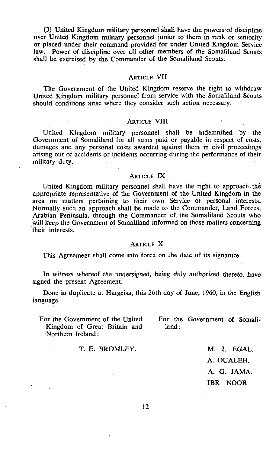(3) United Kingdom military personnel shall have the powers of discipline over United Kingdom military personnel junior to them in rank or seniority or placed under their command provided for under United Kingdom Service law. Power of discipline over all other members of the Somaliland Scouts shall be exercised by the Commander of the Somaliland Scouts.

#### ARTICLE VII

The Government of the United Kingdom reserve the right to withdraw United Kingdom military personnel from service with the Somaliland Scouts should conditions arise where they consider such action necessary.

#### ARTICLE VIII

United Kingdom military personnel shall be indemnified by the Government of Somaliland for all sums paid or payable in respect of costs, damages and any personal costs awarded against them in civil proceedings arising out of accidents or incidents occurring during the performance of their military duty.

#### ARTICLE IX

United Kingdom military personnel shall have the right to approach. the appropriate representative of the Government of the United Kingdom in the area on matters pertaining to their own Service or personal interests. Normally such an approach shall be made to the Commander, Land Forces, Arabian Peninsula, through the Commander of. the Somaliland Scouts who will keep the Government of Somaliland informed on those matters concerning their interests.

#### ARTICLE X

This Agreement shall come into force on the date of its signature.

In witness whereof the undersigned, being duly authorised thereto, have signed the present Agreement.

Done in duplicate at Hargeisa, this 26th day of June, 1960, in the English language.

Kingdom of Great Britain and land: Northern Ireland :

For the Government of the United For the. Government of Somali-

T. E. BROMLEY. M. I. EGAL.

A. DUALEH. A., G. JAMA. IBR NOOR.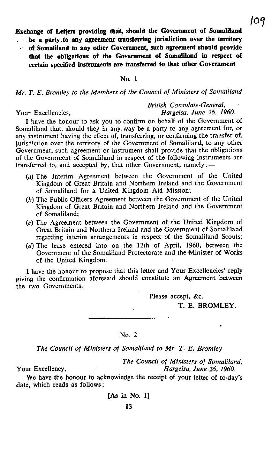Exchange of Letters providing that, should the Government of Somaliland

- $\cdots$  be a party to any agreement transferring jurisdiction over the territory
- of Somaliland to any other Government, such agreement should provide that the obligations of the Government of Somaliland in respect of certain specified instruments are transferred to that other Government

#### No. <sup>1</sup>

Mr. T. E. Bromley to the Members of the Council of Ministers of Somaliland

British Consulate-General, Your Excellencies. The South State of the Hargeisa, June 26, 1960.

<sup>I</sup> have the honour to ask you to confirm on behalf of the Government of Somaliland that, should they in any way be a party to any agreement for, or any instrument having the effect of, transferring, or confirming the transfer of, jurisdiction over the territory of the Government of Somaliland, to any other Government, such agreement or instrument shall provide that the obligations of the Government of Somaliland in respect of the following instruments are transferred to, and accepted by, that other Government, namely:-

- (a) The Interim Agreement between the Government of the United Kingdom of Great Britain and Northern Ireland and the Government of Somaliland for <sup>a</sup> United Kingdom Aid Mission;
- (b) The Public Officers Agreement between the Government of the United Kingdom of Great Britain and Northern Ireland and the Government of Somaliland;
- (c) The Agreement between the Government of the United Kingdom of Great Britain and Northern Ireland and the Government of Somaliland regarding interim arrangements in respect of the Somaliland Scouts;
- (d) The lease entered into on the 12th of April, 1960, between the Government of the Somaliland Protectorate and the Minister of Works of the United Kingdom.

<sup>I</sup> have the honour to propose that this letter and Your Excellencies' reply giving the confirmation aforesaid should constitute an Agreement between the two Governments.

Please accept, &c.

T. E. BROMLEY.

#### No. 2

The Council of Ministers of Somaliland to Mr. T. E. Bromley

The Council of Ministers of Somaliland, Your Excellency, The Excellency extends the Hargeisa, June 26, 1960.

We have the honour to acknowledge the receipt of your letter of to-day's date, which reads as follows :

[As in No. 1]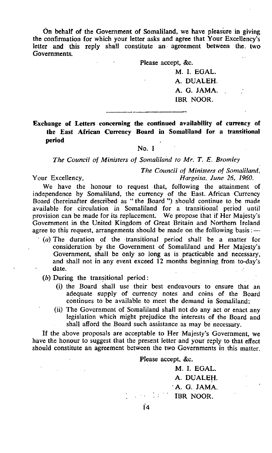On behalf of the Government of Somaliland, we have pleasure in giving the confirmation for which your letter asks and agree that Your Excellency's letter and this reply shall constitute an agreement between the two Governments.

Please accept, &c.

M. I. EGAL. A. DUALEH. A. G. JAMA. IBR NOOR.

Exchange of Letters concerning the continued availability of currency of the East African Currency Board in Somaliland for a transitional period

### No. <sup>1</sup>

The Council of Ministers of Somaliland to Mr. T. E. Bromley

The Council of Ministers of Somaliland, Your Excellency, The Contract Excellency, The Hargeisa, June 26, 1960.

We have the honour to request that, following the attainment of independence by Somaliland, the currency of the East. African Currency Board (hereinafter described as "the Board ") should continue to be made available for circulation in Somaliland for a transitional period until provision can be made for its replacement. We propose that if Her Majesty's Government in the United Kingdom of Great Britain and Northern Ireland agree to this request, arrangements should be made on the following basis: $-$ 

- $(a)$  The duration of the transitional period shall be a matter for consideration by the Government of Somaliland and Her Majesty's Government, shall be only so long as is practicable and necessary, and shall not in any event exceed 12 months beginning from to-day's date.
	- (b) During the transitional period :
		- (i) the Board shall use their best endeavours to ensure that an adequate supply of currency notes and coins of the Board continues to be available to meet the demand in Somaliland;
		- (ii) The Government of Somaliland shall not do any act or enact any legislation which might prejudice the interests of the Board and shall afford the Board such assistance as may be necessary.

If the above proposals are acceptable to Her Majesty's Government, we have the honour to suggest that the present letter and your reply to that effect should constitute an agreement between the two Governments in this matter.

Please accept, &c.

M. I. EGAL. A. DUALEH. A. G. JAMA. IBR NOOR.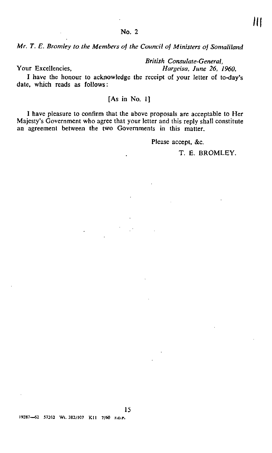Mr. T. E. Bromley to the Members of the Council of Ministers of Somaliland

British Consulate-General,

Your Excellencies, Hargeisa, June 26, 1960.

<sup>I</sup> have the honour to acknowledge the receipt of your letter of to-day's date, which reads as follows:

#### [As in No. 1]

<sup>I</sup> have pleasure to confirm that the above proposals are acceptable to Her Majesty's Government who agree that your letter and this reply shall constitute an agreement between the two Governments in this matter.

Please accept, &c.

T. E. BROMLEY.